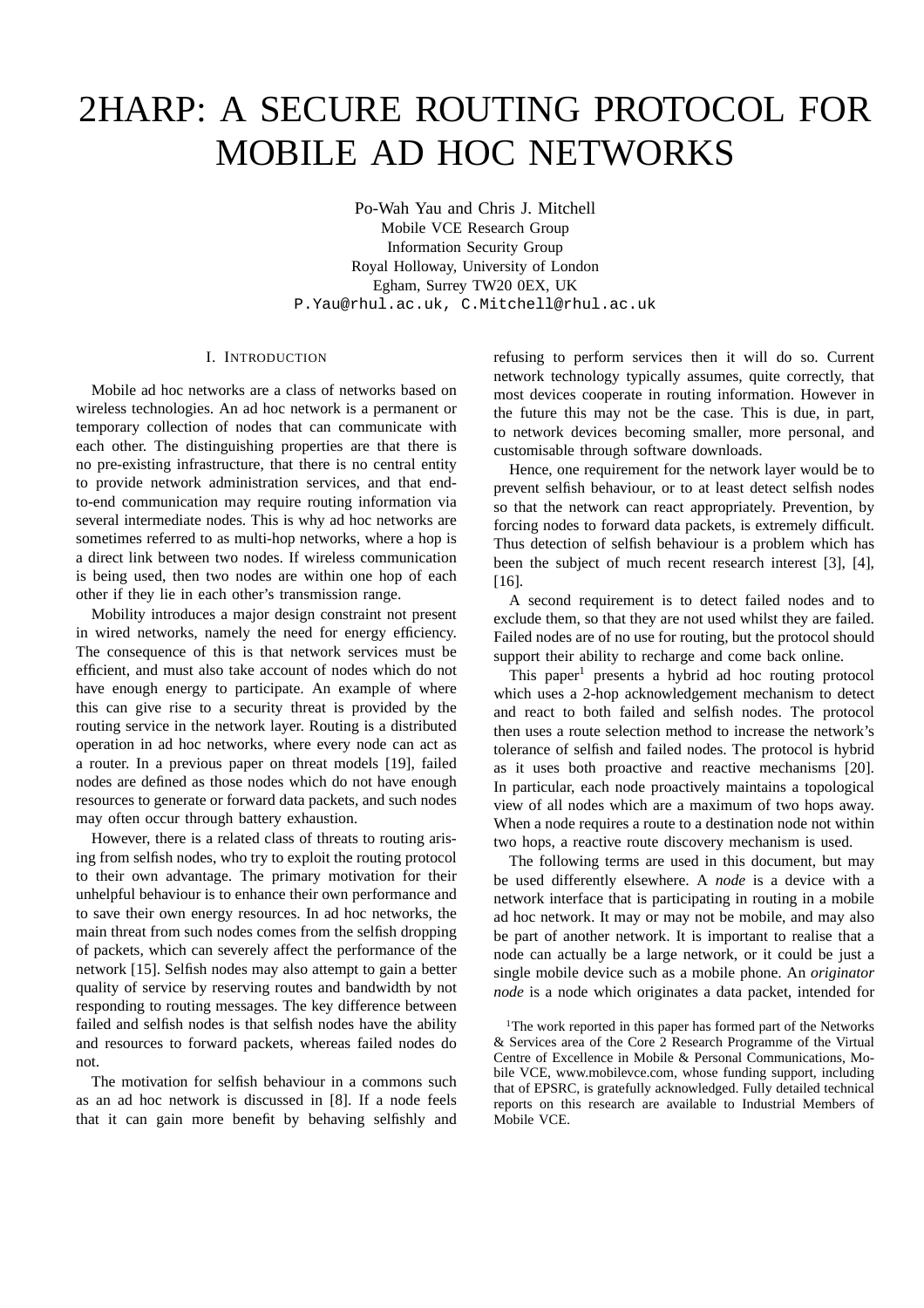# 2HARP: A SECURE ROUTING PROTOCOL FOR MOBILE AD HOC NETWORKS

Po-Wah Yau and Chris J. Mitchell Mobile VCE Research Group Information Security Group Royal Holloway, University of London Egham, Surrey TW20 0EX, UK P.Yau@rhul.ac.uk, C.Mitchell@rhul.ac.uk

## I. INTRODUCTION

Mobile ad hoc networks are a class of networks based on wireless technologies. An ad hoc network is a permanent or temporary collection of nodes that can communicate with each other. The distinguishing properties are that there is no pre-existing infrastructure, that there is no central entity to provide network administration services, and that endto-end communication may require routing information via several intermediate nodes. This is why ad hoc networks are sometimes referred to as multi-hop networks, where a hop is a direct link between two nodes. If wireless communication is being used, then two nodes are within one hop of each other if they lie in each other's transmission range.

Mobility introduces a major design constraint not present in wired networks, namely the need for energy efficiency. The consequence of this is that network services must be efficient, and must also take account of nodes which do not have enough energy to participate. An example of where this can give rise to a security threat is provided by the routing service in the network layer. Routing is a distributed operation in ad hoc networks, where every node can act as a router. In a previous paper on threat models [19], failed nodes are defined as those nodes which do not have enough resources to generate or forward data packets, and such nodes may often occur through battery exhaustion.

However, there is a related class of threats to routing arising from selfish nodes, who try to exploit the routing protocol to their own advantage. The primary motivation for their unhelpful behaviour is to enhance their own performance and to save their own energy resources. In ad hoc networks, the main threat from such nodes comes from the selfish dropping of packets, which can severely affect the performance of the network [15]. Selfish nodes may also attempt to gain a better quality of service by reserving routes and bandwidth by not responding to routing messages. The key difference between failed and selfish nodes is that selfish nodes have the ability and resources to forward packets, whereas failed nodes do not.

The motivation for selfish behaviour in a commons such as an ad hoc network is discussed in [8]. If a node feels that it can gain more benefit by behaving selfishly and refusing to perform services then it will do so. Current network technology typically assumes, quite correctly, that most devices cooperate in routing information. However in the future this may not be the case. This is due, in part, to network devices becoming smaller, more personal, and customisable through software downloads.

Hence, one requirement for the network layer would be to prevent selfish behaviour, or to at least detect selfish nodes so that the network can react appropriately. Prevention, by forcing nodes to forward data packets, is extremely difficult. Thus detection of selfish behaviour is a problem which has been the subject of much recent research interest [3], [4], [16].

A second requirement is to detect failed nodes and to exclude them, so that they are not used whilst they are failed. Failed nodes are of no use for routing, but the protocol should support their ability to recharge and come back online.

This paper<sup>1</sup> presents a hybrid ad hoc routing protocol which uses a 2-hop acknowledgement mechanism to detect and react to both failed and selfish nodes. The protocol then uses a route selection method to increase the network's tolerance of selfish and failed nodes. The protocol is hybrid as it uses both proactive and reactive mechanisms [20]. In particular, each node proactively maintains a topological view of all nodes which are a maximum of two hops away. When a node requires a route to a destination node not within two hops, a reactive route discovery mechanism is used.

The following terms are used in this document, but may be used differently elsewhere. A *node* is a device with a network interface that is participating in routing in a mobile ad hoc network. It may or may not be mobile, and may also be part of another network. It is important to realise that a node can actually be a large network, or it could be just a single mobile device such as a mobile phone. An *originator node* is a node which originates a data packet, intended for

<sup>&</sup>lt;sup>1</sup>The work reported in this paper has formed part of the Networks & Services area of the Core 2 Research Programme of the Virtual Centre of Excellence in Mobile & Personal Communications, Mobile VCE, www.mobilevce.com, whose funding support, including that of EPSRC, is gratefully acknowledged. Fully detailed technical reports on this research are available to Industrial Members of Mobile VCE.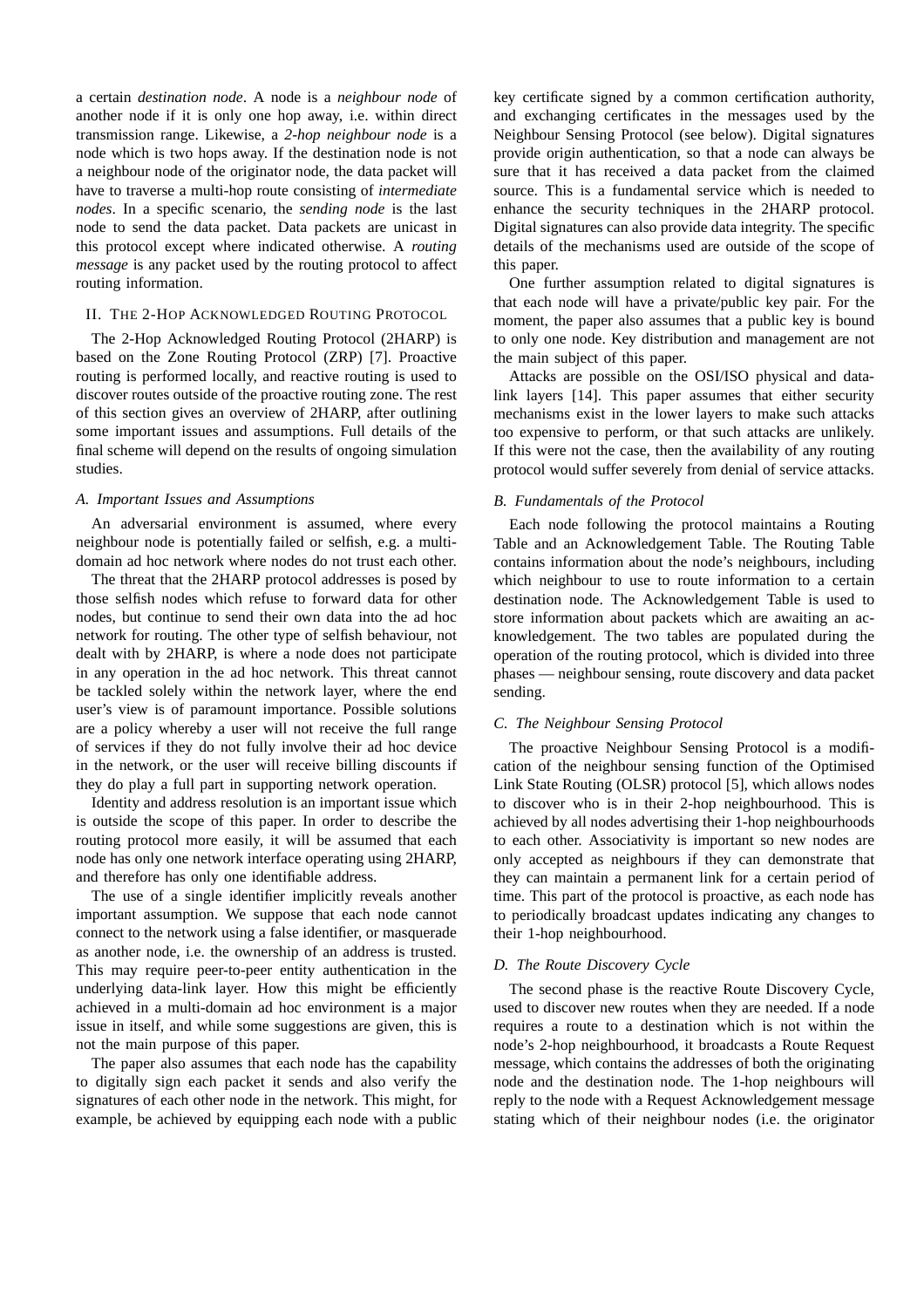a certain *destination node*. A node is a *neighbour node* of another node if it is only one hop away, i.e. within direct transmission range. Likewise, a *2-hop neighbour node* is a node which is two hops away. If the destination node is not a neighbour node of the originator node, the data packet will have to traverse a multi-hop route consisting of *intermediate nodes*. In a specific scenario, the *sending node* is the last node to send the data packet. Data packets are unicast in this protocol except where indicated otherwise. A *routing message* is any packet used by the routing protocol to affect routing information.

# II. THE 2-HOP ACKNOWLEDGED ROUTING PROTOCOL

The 2-Hop Acknowledged Routing Protocol (2HARP) is based on the Zone Routing Protocol (ZRP) [7]. Proactive routing is performed locally, and reactive routing is used to discover routes outside of the proactive routing zone. The rest of this section gives an overview of 2HARP, after outlining some important issues and assumptions. Full details of the final scheme will depend on the results of ongoing simulation studies.

#### *A. Important Issues and Assumptions*

An adversarial environment is assumed, where every neighbour node is potentially failed or selfish, e.g. a multidomain ad hoc network where nodes do not trust each other.

The threat that the 2HARP protocol addresses is posed by those selfish nodes which refuse to forward data for other nodes, but continue to send their own data into the ad hoc network for routing. The other type of selfish behaviour, not dealt with by 2HARP, is where a node does not participate in any operation in the ad hoc network. This threat cannot be tackled solely within the network layer, where the end user's view is of paramount importance. Possible solutions are a policy whereby a user will not receive the full range of services if they do not fully involve their ad hoc device in the network, or the user will receive billing discounts if they do play a full part in supporting network operation.

Identity and address resolution is an important issue which is outside the scope of this paper. In order to describe the routing protocol more easily, it will be assumed that each node has only one network interface operating using 2HARP, and therefore has only one identifiable address.

The use of a single identifier implicitly reveals another important assumption. We suppose that each node cannot connect to the network using a false identifier, or masquerade as another node, i.e. the ownership of an address is trusted. This may require peer-to-peer entity authentication in the underlying data-link layer. How this might be efficiently achieved in a multi-domain ad hoc environment is a major issue in itself, and while some suggestions are given, this is not the main purpose of this paper.

The paper also assumes that each node has the capability to digitally sign each packet it sends and also verify the signatures of each other node in the network. This might, for example, be achieved by equipping each node with a public

key certificate signed by a common certification authority, and exchanging certificates in the messages used by the Neighbour Sensing Protocol (see below). Digital signatures provide origin authentication, so that a node can always be sure that it has received a data packet from the claimed source. This is a fundamental service which is needed to enhance the security techniques in the 2HARP protocol. Digital signatures can also provide data integrity. The specific details of the mechanisms used are outside of the scope of this paper.

One further assumption related to digital signatures is that each node will have a private/public key pair. For the moment, the paper also assumes that a public key is bound to only one node. Key distribution and management are not the main subject of this paper.

Attacks are possible on the OSI/ISO physical and datalink layers [14]. This paper assumes that either security mechanisms exist in the lower layers to make such attacks too expensive to perform, or that such attacks are unlikely. If this were not the case, then the availability of any routing protocol would suffer severely from denial of service attacks.

## *B. Fundamentals of the Protocol*

Each node following the protocol maintains a Routing Table and an Acknowledgement Table. The Routing Table contains information about the node's neighbours, including which neighbour to use to route information to a certain destination node. The Acknowledgement Table is used to store information about packets which are awaiting an acknowledgement. The two tables are populated during the operation of the routing protocol, which is divided into three phases — neighbour sensing, route discovery and data packet sending.

## *C. The Neighbour Sensing Protocol*

The proactive Neighbour Sensing Protocol is a modification of the neighbour sensing function of the Optimised Link State Routing (OLSR) protocol [5], which allows nodes to discover who is in their 2-hop neighbourhood. This is achieved by all nodes advertising their 1-hop neighbourhoods to each other. Associativity is important so new nodes are only accepted as neighbours if they can demonstrate that they can maintain a permanent link for a certain period of time. This part of the protocol is proactive, as each node has to periodically broadcast updates indicating any changes to their 1-hop neighbourhood.

# *D. The Route Discovery Cycle*

The second phase is the reactive Route Discovery Cycle, used to discover new routes when they are needed. If a node requires a route to a destination which is not within the node's 2-hop neighbourhood, it broadcasts a Route Request message, which contains the addresses of both the originating node and the destination node. The 1-hop neighbours will reply to the node with a Request Acknowledgement message stating which of their neighbour nodes (i.e. the originator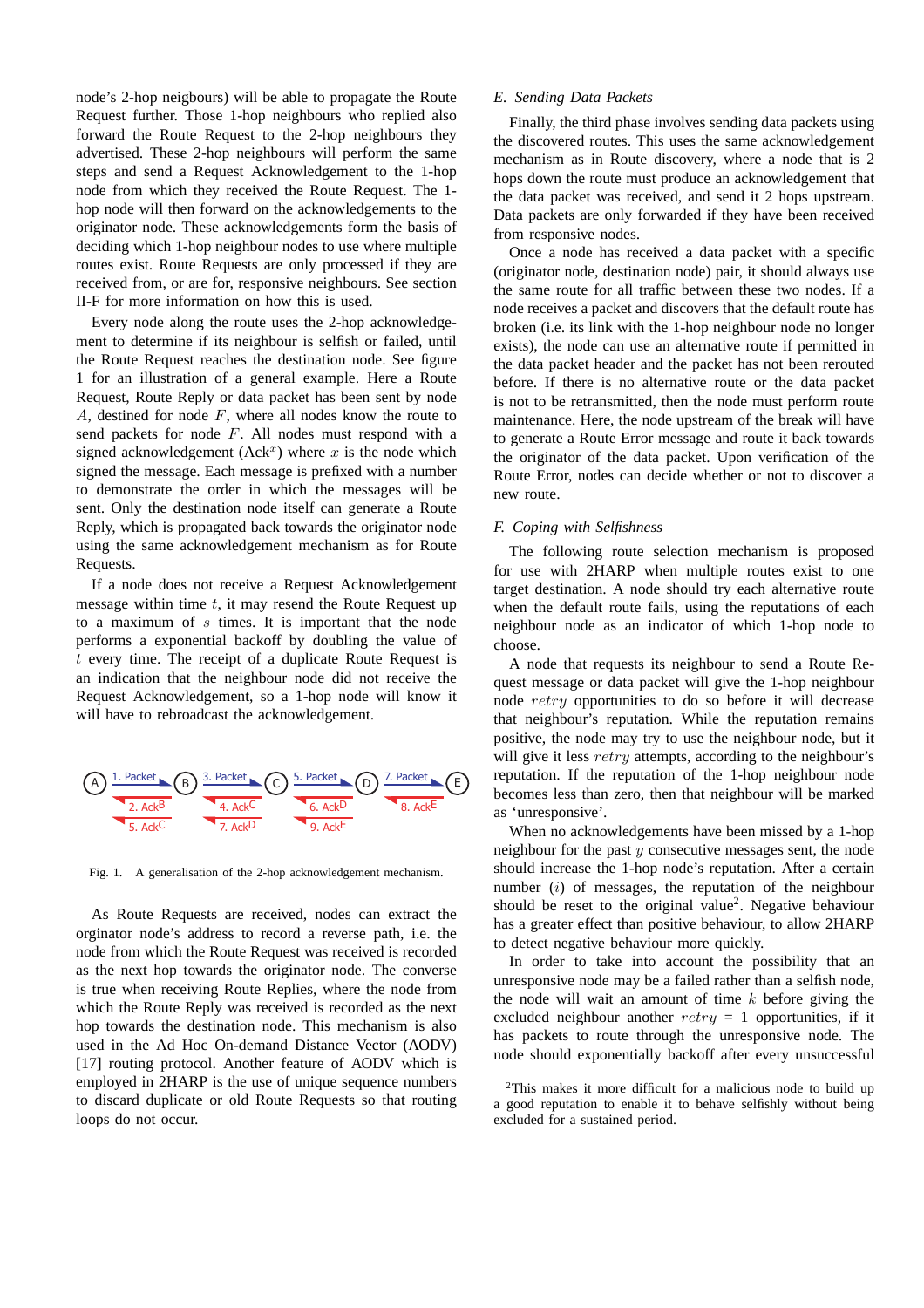node's 2-hop neigbours) will be able to propagate the Route Request further. Those 1-hop neighbours who replied also forward the Route Request to the 2-hop neighbours they advertised. These 2-hop neighbours will perform the same steps and send a Request Acknowledgement to the 1-hop node from which they received the Route Request. The 1 hop node will then forward on the acknowledgements to the originator node. These acknowledgements form the basis of deciding which 1-hop neighbour nodes to use where multiple routes exist. Route Requests are only processed if they are received from, or are for, responsive neighbours. See section II-F for more information on how this is used.

Every node along the route uses the 2-hop acknowledgement to determine if its neighbour is selfish or failed, until the Route Request reaches the destination node. See figure 1 for an illustration of a general example. Here a Route Request, Route Reply or data packet has been sent by node *A*, destined for node *F*, where all nodes know the route to send packets for node *F*. All nodes must respond with a signed acknowledgement  $(Ack^x)$  where x is the node which signed the message. Each message is prefixed with a number to demonstrate the order in which the messages will be sent. Only the destination node itself can generate a Route Reply, which is propagated back towards the originator node using the same acknowledgement mechanism as for Route Requests.

If a node does not receive a Request Acknowledgement message within time *t*, it may resend the Route Request up to a maximum of *s* times. It is important that the node performs a exponential backoff by doubling the value of *t* every time. The receipt of a duplicate Route Request is an indication that the neighbour node did not receive the Request Acknowledgement, so a 1-hop node will know it will have to rebroadcast the acknowledgement.



Fig. 1. A generalisation of the 2-hop acknowledgement mechanism.

As Route Requests are received, nodes can extract the orginator node's address to record a reverse path, i.e. the node from which the Route Request was received is recorded as the next hop towards the originator node. The converse is true when receiving Route Replies, where the node from which the Route Reply was received is recorded as the next hop towards the destination node. This mechanism is also used in the Ad Hoc On-demand Distance Vector (AODV) [17] routing protocol. Another feature of AODV which is employed in 2HARP is the use of unique sequence numbers to discard duplicate or old Route Requests so that routing loops do not occur.

## *E. Sending Data Packets*

Finally, the third phase involves sending data packets using the discovered routes. This uses the same acknowledgement mechanism as in Route discovery, where a node that is 2 hops down the route must produce an acknowledgement that the data packet was received, and send it 2 hops upstream. Data packets are only forwarded if they have been received from responsive nodes.

Once a node has received a data packet with a specific (originator node, destination node) pair, it should always use the same route for all traffic between these two nodes. If a node receives a packet and discovers that the default route has broken (i.e. its link with the 1-hop neighbour node no longer exists), the node can use an alternative route if permitted in the data packet header and the packet has not been rerouted before. If there is no alternative route or the data packet is not to be retransmitted, then the node must perform route maintenance. Here, the node upstream of the break will have to generate a Route Error message and route it back towards the originator of the data packet. Upon verification of the Route Error, nodes can decide whether or not to discover a new route.

## *F. Coping with Selfishness*

The following route selection mechanism is proposed for use with 2HARP when multiple routes exist to one target destination. A node should try each alternative route when the default route fails, using the reputations of each neighbour node as an indicator of which 1-hop node to choose.

A node that requests its neighbour to send a Route Request message or data packet will give the 1-hop neighbour node *retry* opportunities to do so before it will decrease that neighbour's reputation. While the reputation remains positive, the node may try to use the neighbour node, but it will give it less *retry* attempts, according to the neighbour's reputation. If the reputation of the 1-hop neighbour node becomes less than zero, then that neighbour will be marked as 'unresponsive'.

When no acknowledgements have been missed by a 1-hop neighbour for the past *y* consecutive messages sent, the node should increase the 1-hop node's reputation. After a certain number (*i*) of messages, the reputation of the neighbour should be reset to the original value<sup>2</sup>. Negative behaviour has a greater effect than positive behaviour, to allow 2HARP to detect negative behaviour more quickly.

In order to take into account the possibility that an unresponsive node may be a failed rather than a selfish node, the node will wait an amount of time *k* before giving the excluded neighbour another *retry* = 1 opportunities, if it has packets to route through the unresponsive node. The node should exponentially backoff after every unsuccessful

2This makes it more difficult for a malicious node to build up a good reputation to enable it to behave selfishly without being excluded for a sustained period.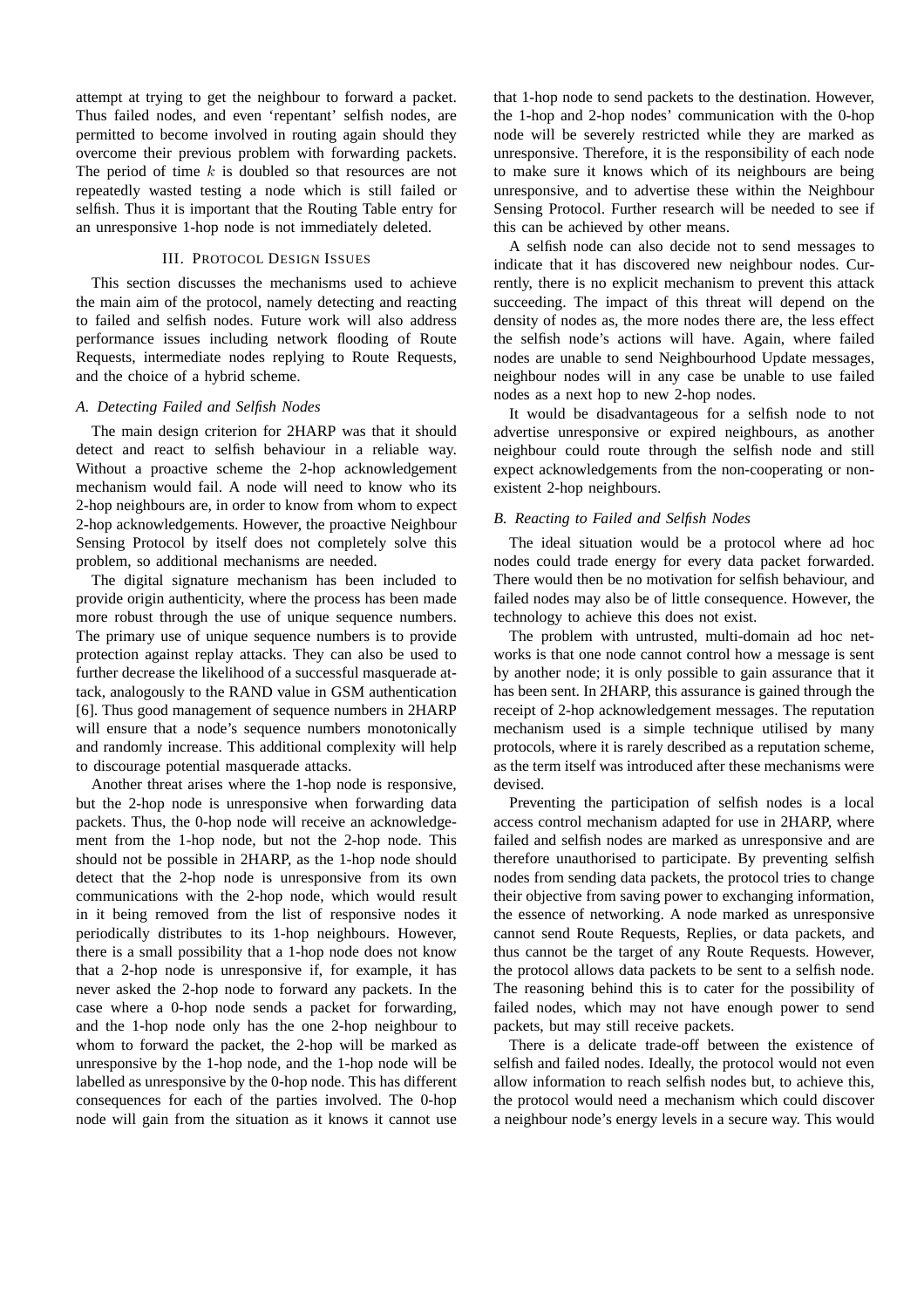attempt at trying to get the neighbour to forward a packet. Thus failed nodes, and even 'repentant' selfish nodes, are permitted to become involved in routing again should they overcome their previous problem with forwarding packets. The period of time *k* is doubled so that resources are not repeatedly wasted testing a node which is still failed or selfish. Thus it is important that the Routing Table entry for an unresponsive 1-hop node is not immediately deleted.

## III. PROTOCOL DESIGN ISSUES

This section discusses the mechanisms used to achieve the main aim of the protocol, namely detecting and reacting to failed and selfish nodes. Future work will also address performance issues including network flooding of Route Requests, intermediate nodes replying to Route Requests, and the choice of a hybrid scheme.

#### *A. Detecting Failed and Selfish Nodes*

The main design criterion for 2HARP was that it should detect and react to selfish behaviour in a reliable way. Without a proactive scheme the 2-hop acknowledgement mechanism would fail. A node will need to know who its 2-hop neighbours are, in order to know from whom to expect 2-hop acknowledgements. However, the proactive Neighbour Sensing Protocol by itself does not completely solve this problem, so additional mechanisms are needed.

The digital signature mechanism has been included to provide origin authenticity, where the process has been made more robust through the use of unique sequence numbers. The primary use of unique sequence numbers is to provide protection against replay attacks. They can also be used to further decrease the likelihood of a successful masquerade attack, analogously to the RAND value in GSM authentication [6]. Thus good management of sequence numbers in 2HARP will ensure that a node's sequence numbers monotonically and randomly increase. This additional complexity will help to discourage potential masquerade attacks.

Another threat arises where the 1-hop node is responsive, but the 2-hop node is unresponsive when forwarding data packets. Thus, the 0-hop node will receive an acknowledgement from the 1-hop node, but not the 2-hop node. This should not be possible in 2HARP, as the 1-hop node should detect that the 2-hop node is unresponsive from its own communications with the 2-hop node, which would result in it being removed from the list of responsive nodes it periodically distributes to its 1-hop neighbours. However, there is a small possibility that a 1-hop node does not know that a 2-hop node is unresponsive if, for example, it has never asked the 2-hop node to forward any packets. In the case where a 0-hop node sends a packet for forwarding, and the 1-hop node only has the one 2-hop neighbour to whom to forward the packet, the 2-hop will be marked as unresponsive by the 1-hop node, and the 1-hop node will be labelled as unresponsive by the 0-hop node. This has different consequences for each of the parties involved. The 0-hop node will gain from the situation as it knows it cannot use that 1-hop node to send packets to the destination. However, the 1-hop and 2-hop nodes' communication with the 0-hop node will be severely restricted while they are marked as unresponsive. Therefore, it is the responsibility of each node to make sure it knows which of its neighbours are being unresponsive, and to advertise these within the Neighbour Sensing Protocol. Further research will be needed to see if this can be achieved by other means.

A selfish node can also decide not to send messages to indicate that it has discovered new neighbour nodes. Currently, there is no explicit mechanism to prevent this attack succeeding. The impact of this threat will depend on the density of nodes as, the more nodes there are, the less effect the selfish node's actions will have. Again, where failed nodes are unable to send Neighbourhood Update messages, neighbour nodes will in any case be unable to use failed nodes as a next hop to new 2-hop nodes.

It would be disadvantageous for a selfish node to not advertise unresponsive or expired neighbours, as another neighbour could route through the selfish node and still expect acknowledgements from the non-cooperating or nonexistent 2-hop neighbours.

# *B. Reacting to Failed and Selfish Nodes*

The ideal situation would be a protocol where ad hoc nodes could trade energy for every data packet forwarded. There would then be no motivation for selfish behaviour, and failed nodes may also be of little consequence. However, the technology to achieve this does not exist.

The problem with untrusted, multi-domain ad hoc networks is that one node cannot control how a message is sent by another node; it is only possible to gain assurance that it has been sent. In 2HARP, this assurance is gained through the receipt of 2-hop acknowledgement messages. The reputation mechanism used is a simple technique utilised by many protocols, where it is rarely described as a reputation scheme, as the term itself was introduced after these mechanisms were devised.

Preventing the participation of selfish nodes is a local access control mechanism adapted for use in 2HARP, where failed and selfish nodes are marked as unresponsive and are therefore unauthorised to participate. By preventing selfish nodes from sending data packets, the protocol tries to change their objective from saving power to exchanging information, the essence of networking. A node marked as unresponsive cannot send Route Requests, Replies, or data packets, and thus cannot be the target of any Route Requests. However, the protocol allows data packets to be sent to a selfish node. The reasoning behind this is to cater for the possibility of failed nodes, which may not have enough power to send packets, but may still receive packets.

There is a delicate trade-off between the existence of selfish and failed nodes. Ideally, the protocol would not even allow information to reach selfish nodes but, to achieve this, the protocol would need a mechanism which could discover a neighbour node's energy levels in a secure way. This would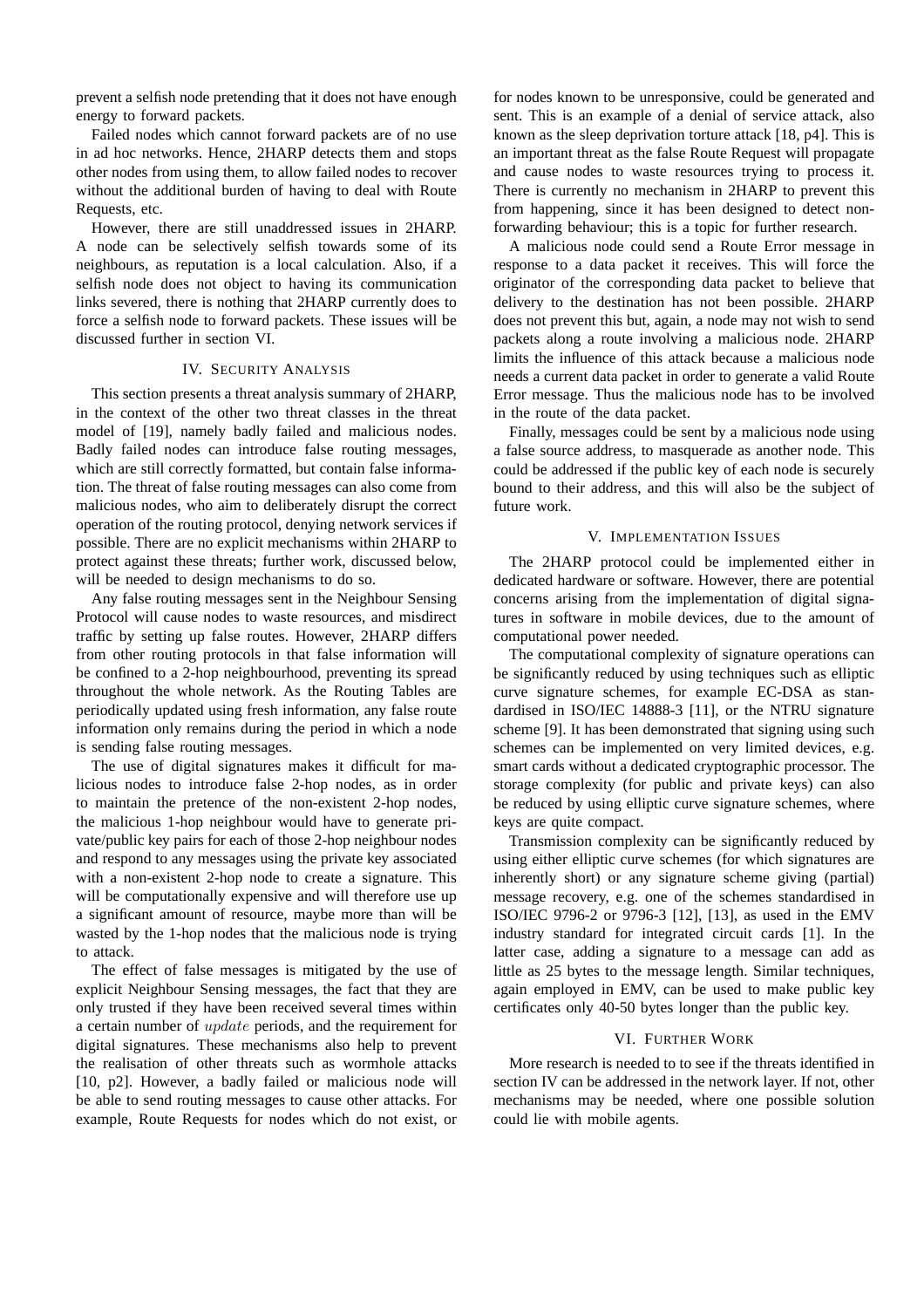prevent a selfish node pretending that it does not have enough energy to forward packets.

Failed nodes which cannot forward packets are of no use in ad hoc networks. Hence, 2HARP detects them and stops other nodes from using them, to allow failed nodes to recover without the additional burden of having to deal with Route Requests, etc.

However, there are still unaddressed issues in 2HARP. A node can be selectively selfish towards some of its neighbours, as reputation is a local calculation. Also, if a selfish node does not object to having its communication links severed, there is nothing that 2HARP currently does to force a selfish node to forward packets. These issues will be discussed further in section VI.

### IV. SECURITY ANALYSIS

This section presents a threat analysis summary of 2HARP, in the context of the other two threat classes in the threat model of [19], namely badly failed and malicious nodes. Badly failed nodes can introduce false routing messages, which are still correctly formatted, but contain false information. The threat of false routing messages can also come from malicious nodes, who aim to deliberately disrupt the correct operation of the routing protocol, denying network services if possible. There are no explicit mechanisms within 2HARP to protect against these threats; further work, discussed below, will be needed to design mechanisms to do so.

Any false routing messages sent in the Neighbour Sensing Protocol will cause nodes to waste resources, and misdirect traffic by setting up false routes. However, 2HARP differs from other routing protocols in that false information will be confined to a 2-hop neighbourhood, preventing its spread throughout the whole network. As the Routing Tables are periodically updated using fresh information, any false route information only remains during the period in which a node is sending false routing messages.

The use of digital signatures makes it difficult for malicious nodes to introduce false 2-hop nodes, as in order to maintain the pretence of the non-existent 2-hop nodes, the malicious 1-hop neighbour would have to generate private/public key pairs for each of those 2-hop neighbour nodes and respond to any messages using the private key associated with a non-existent 2-hop node to create a signature. This will be computationally expensive and will therefore use up a significant amount of resource, maybe more than will be wasted by the 1-hop nodes that the malicious node is trying to attack.

The effect of false messages is mitigated by the use of explicit Neighbour Sensing messages, the fact that they are only trusted if they have been received several times within a certain number of *update* periods, and the requirement for digital signatures. These mechanisms also help to prevent the realisation of other threats such as wormhole attacks [10, p2]. However, a badly failed or malicious node will be able to send routing messages to cause other attacks. For example, Route Requests for nodes which do not exist, or

for nodes known to be unresponsive, could be generated and sent. This is an example of a denial of service attack, also known as the sleep deprivation torture attack [18, p4]. This is an important threat as the false Route Request will propagate and cause nodes to waste resources trying to process it. There is currently no mechanism in 2HARP to prevent this from happening, since it has been designed to detect nonforwarding behaviour; this is a topic for further research.

A malicious node could send a Route Error message in response to a data packet it receives. This will force the originator of the corresponding data packet to believe that delivery to the destination has not been possible. 2HARP does not prevent this but, again, a node may not wish to send packets along a route involving a malicious node. 2HARP limits the influence of this attack because a malicious node needs a current data packet in order to generate a valid Route Error message. Thus the malicious node has to be involved in the route of the data packet.

Finally, messages could be sent by a malicious node using a false source address, to masquerade as another node. This could be addressed if the public key of each node is securely bound to their address, and this will also be the subject of future work.

#### V. IMPLEMENTATION ISSUES

The 2HARP protocol could be implemented either in dedicated hardware or software. However, there are potential concerns arising from the implementation of digital signatures in software in mobile devices, due to the amount of computational power needed.

The computational complexity of signature operations can be significantly reduced by using techniques such as elliptic curve signature schemes, for example EC-DSA as standardised in ISO/IEC 14888-3 [11], or the NTRU signature scheme [9]. It has been demonstrated that signing using such schemes can be implemented on very limited devices, e.g. smart cards without a dedicated cryptographic processor. The storage complexity (for public and private keys) can also be reduced by using elliptic curve signature schemes, where keys are quite compact.

Transmission complexity can be significantly reduced by using either elliptic curve schemes (for which signatures are inherently short) or any signature scheme giving (partial) message recovery, e.g. one of the schemes standardised in ISO/IEC 9796-2 or 9796-3 [12], [13], as used in the EMV industry standard for integrated circuit cards [1]. In the latter case, adding a signature to a message can add as little as 25 bytes to the message length. Similar techniques, again employed in EMV, can be used to make public key certificates only 40-50 bytes longer than the public key.

#### VI. FURTHER WORK

More research is needed to to see if the threats identified in section IV can be addressed in the network layer. If not, other mechanisms may be needed, where one possible solution could lie with mobile agents.